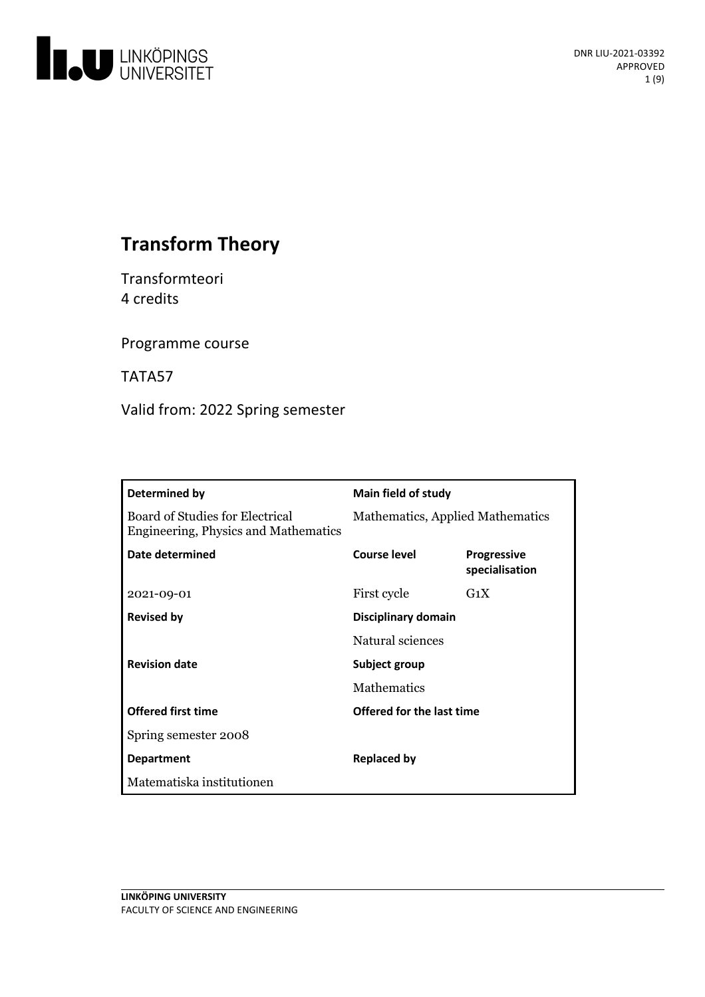

# **Transform Theory**

Transformteori 4 credits

Programme course

TATA57

Valid from: 2022 Spring semester

| Determined by                                                                  | <b>Main field of study</b>       |                                      |
|--------------------------------------------------------------------------------|----------------------------------|--------------------------------------|
| <b>Board of Studies for Electrical</b><br>Engineering, Physics and Mathematics | Mathematics, Applied Mathematics |                                      |
| Date determined                                                                | Course level                     | <b>Progressive</b><br>specialisation |
| 2021-09-01                                                                     | First cycle                      | $G_1X$                               |
| <b>Revised by</b>                                                              | Disciplinary domain              |                                      |
|                                                                                | Natural sciences                 |                                      |
| <b>Revision date</b>                                                           | Subject group                    |                                      |
|                                                                                | <b>Mathematics</b>               |                                      |
| <b>Offered first time</b>                                                      | Offered for the last time        |                                      |
| Spring semester 2008                                                           |                                  |                                      |
| <b>Department</b>                                                              | <b>Replaced by</b>               |                                      |
| Matematiska institutionen                                                      |                                  |                                      |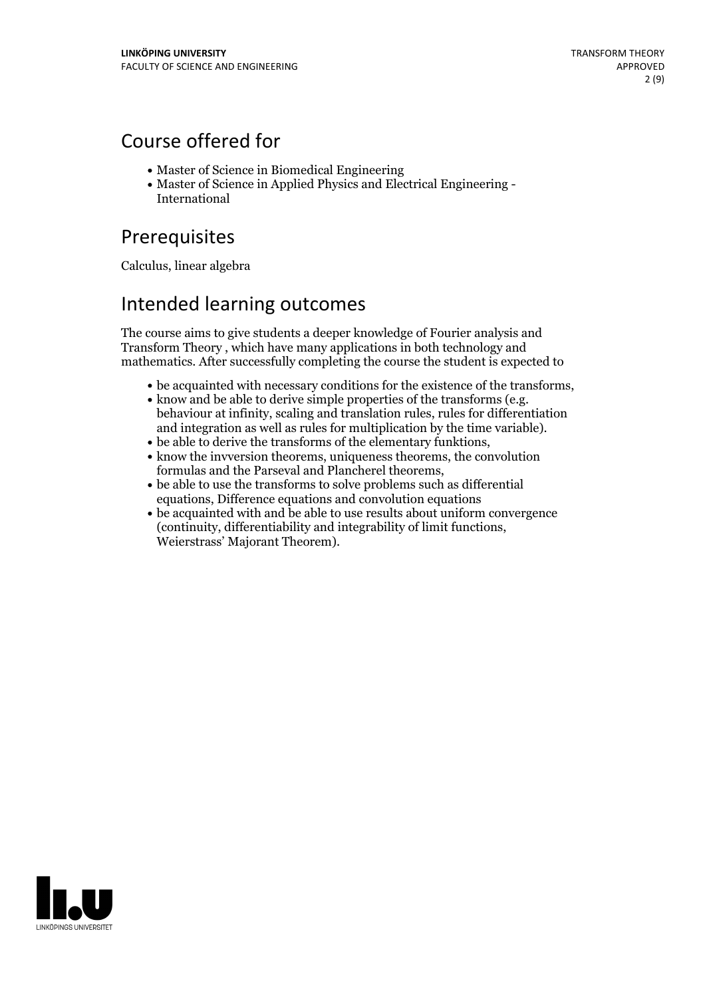## Course offered for

- Master of Science in Biomedical Engineering
- Master of Science in Applied Physics and Electrical Engineering International

## Prerequisites

Calculus, linear algebra

## Intended learning outcomes

The course aims to give students a deeper knowledge of Fourier analysis and Transform Theory , which have many applications in both technology and mathematics. After successfully completing the course the student is expected to

- 
- be acquainted with necessary conditions for the existence of the transforms,<br>• know and be able to derive simple properties of the transforms (e.g.<br>behaviour at infinity, scaling and translation rules, rules for differen
- 
- and integration as well as rules for multiplication by the time variable). <br>  $\bullet$  be able to derive the transforms of the elementary funktions,<br> $\bullet$  know the invversion theorems, uniqueness theorems, the convolution formulas and the Parseval and Plancherel theorems,<br>• be able to use the transforms to solve problems such as differential
- equations, Difference equations and convolution equations
- be acquainted with and be able to use results about uniform convergence (continuity, differentiability and integrability of limit functions, Weierstrass' Majorant Theorem).

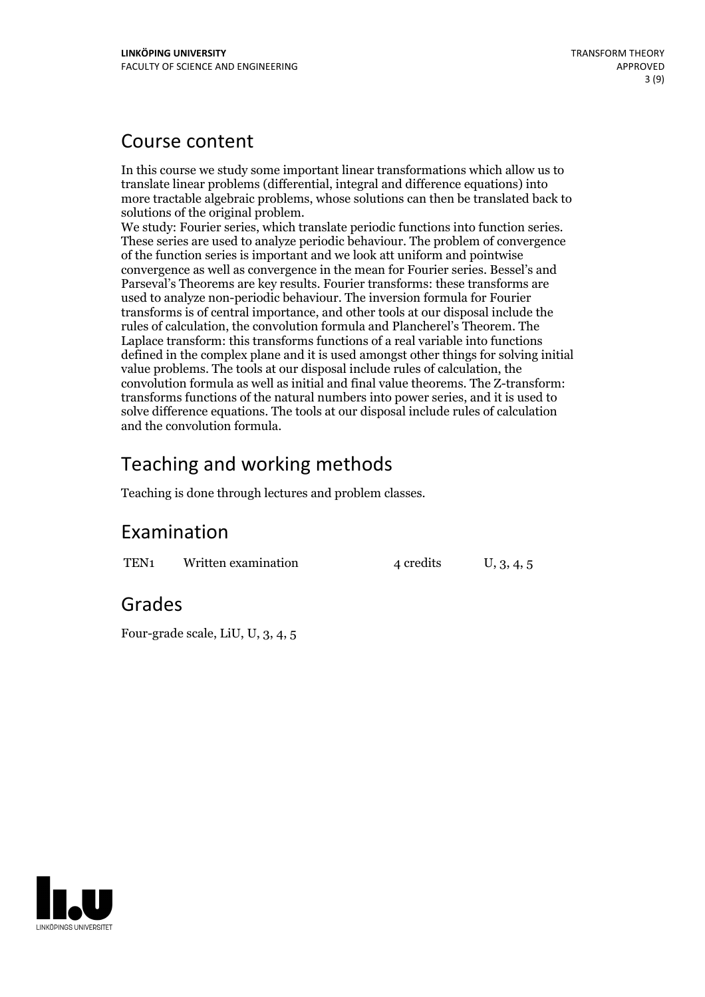## Course content

In this course we study some important linear transformations which allow us to translate linear problems (differential, integral and difference equations) into more tractable algebraic problems, whose solutions can then be translated back to

We study: Fourier series, which translate periodic functions into function series.<br>These series are used to analyze periodic behaviour. The problem of convergence of the function series is important and we look attuniform and pointwise convergence as well as convergence in the mean for Fourier series. Bessel's and Parseval's Theorems are key results. Fourier transforms: these transforms are used to analyze non-periodic behaviour. The inversion formula for Fourier transforms is of central importance, and other tools at our disposal include the rules of calculation, the convolution formula and Plancherel's Theorem. The Laplace transform: this transforms functions of a real variable into functions defined in the complex plane and it is used amongst other things for solving initial value problems. The tools at our disposal include rules of calculation, the convolution formula as well as initial and final value theorems. The Z-transform: transforms functions of the natural numbers into power series, and it is used to solve difference equations. The tools at our disposal include rules of calculation and the convolution formula.

# Teaching and working methods

Teaching is done through lectures and problem classes.

## Examination

TEN<sub>1</sub> Written examination  $\frac{4 \text{ credits}}{4 \text{ credits}}$  U, 3, 4, 5

## Grades

Four-grade scale, LiU, U, 3, 4, 5

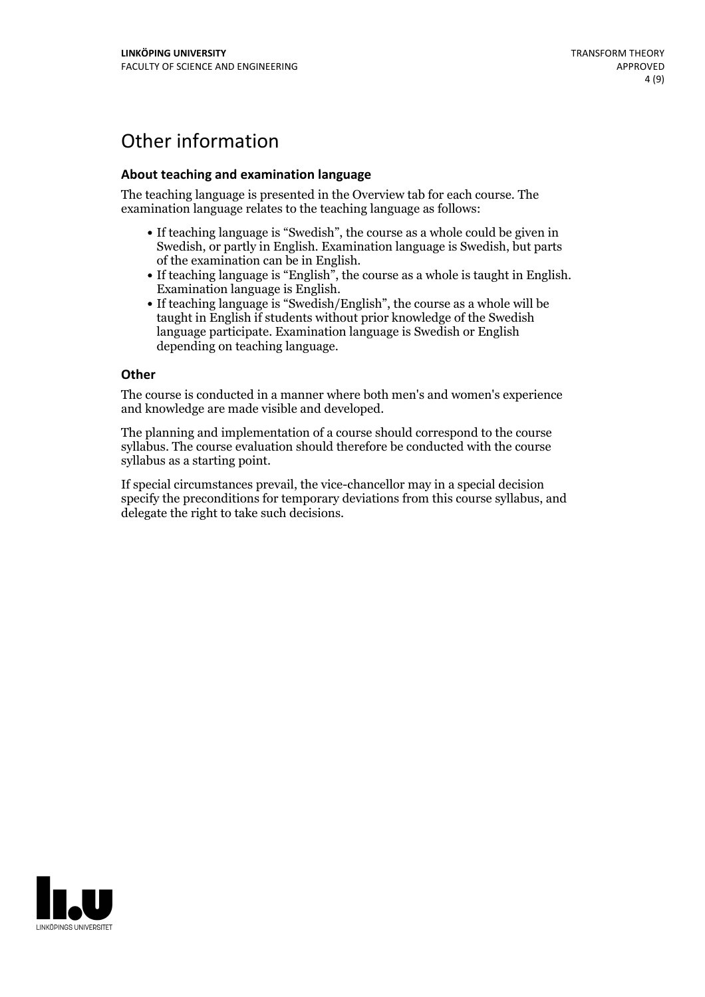# Other information

### **About teaching and examination language**

The teaching language is presented in the Overview tab for each course. The examination language relates to the teaching language as follows:

- If teaching language is "Swedish", the course as a whole could be given in Swedish, or partly in English. Examination language is Swedish, but parts
- of the examination can be in English. If teaching language is "English", the course as <sup>a</sup> whole is taught in English. Examination language is English. If teaching language is "Swedish/English", the course as <sup>a</sup> whole will be
- taught in English if students without prior knowledge of the Swedish language participate. Examination language is Swedish or English depending on teaching language.

#### **Other**

The course is conducted in a manner where both men's and women's experience and knowledge are made visible and developed.

The planning and implementation of a course should correspond to the course syllabus. The course evaluation should therefore be conducted with the course syllabus as a starting point.

If special circumstances prevail, the vice-chancellor may in a special decision specify the preconditions for temporary deviations from this course syllabus, and delegate the right to take such decisions.

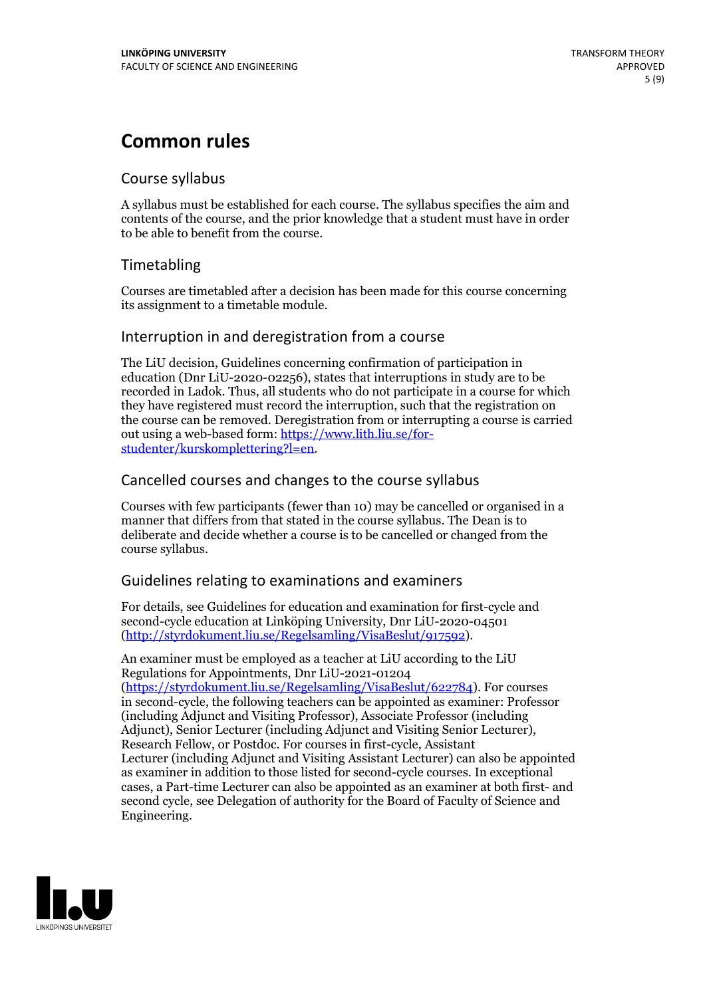## **Common rules**

## Course syllabus

A syllabus must be established for each course. The syllabus specifies the aim and contents of the course, and the prior knowledge that a student must have in order to be able to benefit from the course.

## Timetabling

Courses are timetabled after a decision has been made for this course concerning its assignment to a timetable module.

## Interruption in and deregistration from a course

The LiU decision, Guidelines concerning confirmation of participation in education (Dnr LiU-2020-02256), states that interruptions in study are to be recorded in Ladok. Thus, all students who do not participate in a course for which they have registered must record the interruption, such that the registration on the course can be removed. Deregistration from or interrupting a course is carried out using <sup>a</sup> web-based form: https://www.lith.liu.se/for- [studenter/kurskomplettering?l=en.](https://www.lith.liu.se/for-studenter/kurskomplettering?l=en)

## Cancelled courses and changes to the course syllabus

Courses with few participants (fewer than 10) may be cancelled or organised in a manner that differs from that stated in the course syllabus. The Dean is to deliberate and decide whether a course is to be cancelled or changed from the course syllabus.

## Guidelines relating to examinations and examiners

For details, see Guidelines for education and examination for first-cycle and second-cycle education at Linköping University, Dnr LiU-2020-04501 [\(http://styrdokument.liu.se/Regelsamling/VisaBeslut/917592\)](http://styrdokument.liu.se/Regelsamling/VisaBeslut/917592).

An examiner must be employed as a teacher at LiU according to the LiU Regulations for Appointments, Dnr LiU-2021-01204 [\(https://styrdokument.liu.se/Regelsamling/VisaBeslut/622784](https://styrdokument.liu.se/Regelsamling/VisaBeslut/622784)). For courses in second-cycle, the following teachers can be appointed as examiner: Professor (including Adjunct and Visiting Professor), Associate Professor (including Adjunct), Senior Lecturer (including Adjunct and Visiting Senior Lecturer), Research Fellow, or Postdoc. For courses in first-cycle, Assistant Lecturer (including Adjunct and Visiting Assistant Lecturer) can also be appointed as examiner in addition to those listed for second-cycle courses. In exceptional cases, a Part-time Lecturer can also be appointed as an examiner at both first- and second cycle, see Delegation of authority for the Board of Faculty of Science and Engineering.

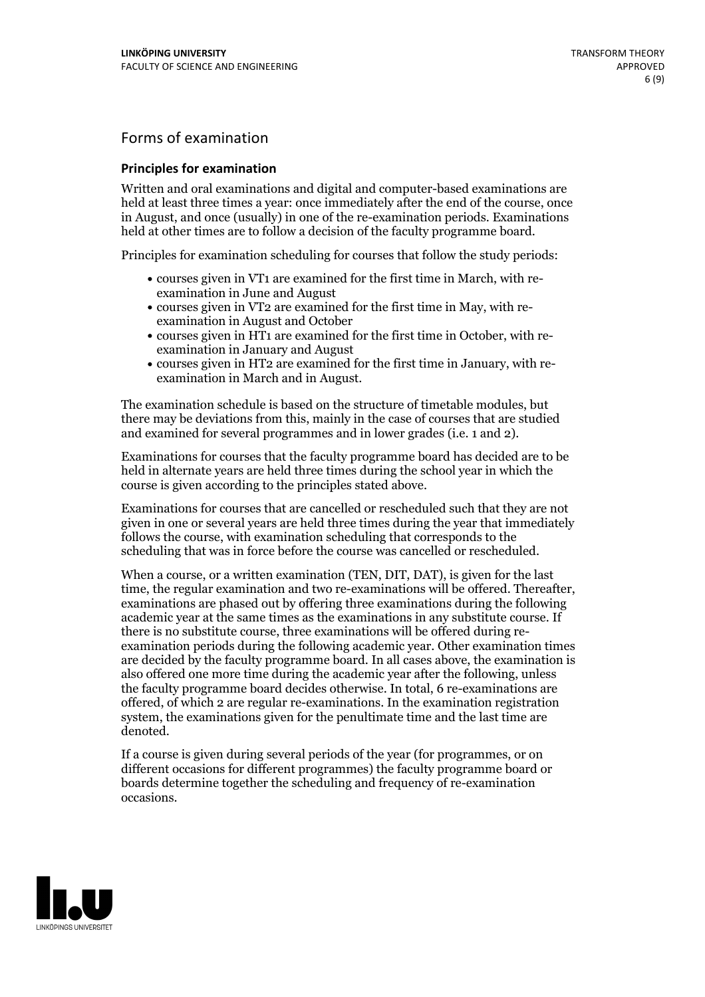## Forms of examination

#### **Principles for examination**

Written and oral examinations and digital and computer-based examinations are held at least three times a year: once immediately after the end of the course, once in August, and once (usually) in one of the re-examination periods. Examinations held at other times are to follow a decision of the faculty programme board.

Principles for examination scheduling for courses that follow the study periods:

- courses given in VT1 are examined for the first time in March, with re-examination in June and August
- courses given in VT2 are examined for the first time in May, with re-examination in August and October
- courses given in HT1 are examined for the first time in October, with re-examination in January and August
- courses given in HT2 are examined for the first time in January, with re-examination in March and in August.

The examination schedule is based on the structure of timetable modules, but there may be deviations from this, mainly in the case of courses that are studied and examined for several programmes and in lower grades (i.e. 1 and 2).

Examinations for courses that the faculty programme board has decided are to be held in alternate years are held three times during the school year in which the course is given according to the principles stated above.

Examinations for courses that are cancelled orrescheduled such that they are not given in one or several years are held three times during the year that immediately follows the course, with examination scheduling that corresponds to the scheduling that was in force before the course was cancelled or rescheduled.

When a course, or a written examination (TEN, DIT, DAT), is given for the last time, the regular examination and two re-examinations will be offered. Thereafter, examinations are phased out by offering three examinations during the following academic year at the same times as the examinations in any substitute course. If there is no substitute course, three examinations will be offered during re- examination periods during the following academic year. Other examination times are decided by the faculty programme board. In all cases above, the examination is also offered one more time during the academic year after the following, unless the faculty programme board decides otherwise. In total, 6 re-examinations are offered, of which 2 are regular re-examinations. In the examination registration system, the examinations given for the penultimate time and the last time are denoted.

If a course is given during several periods of the year (for programmes, or on different occasions for different programmes) the faculty programme board or boards determine together the scheduling and frequency of re-examination occasions.

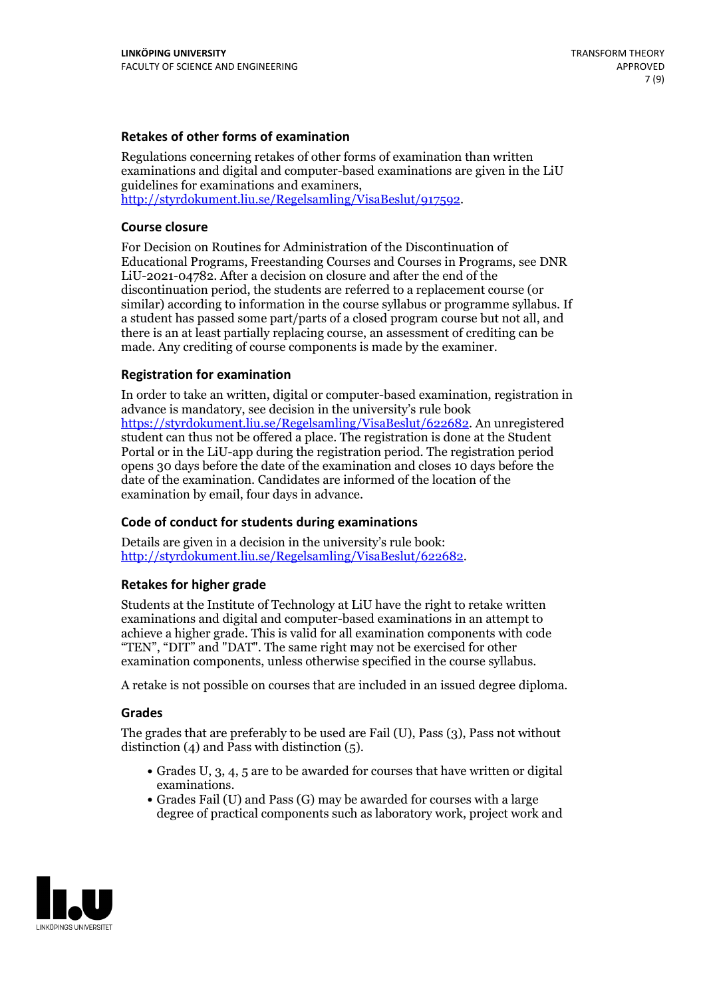### **Retakes of other forms of examination**

Regulations concerning retakes of other forms of examination than written examinations and digital and computer-based examinations are given in the LiU guidelines for examinations and examiners, [http://styrdokument.liu.se/Regelsamling/VisaBeslut/917592.](http://styrdokument.liu.se/Regelsamling/VisaBeslut/917592)

#### **Course closure**

For Decision on Routines for Administration of the Discontinuation of Educational Programs, Freestanding Courses and Courses in Programs, see DNR LiU-2021-04782. After a decision on closure and after the end of the discontinuation period, the students are referred to a replacement course (or similar) according to information in the course syllabus or programme syllabus. If a student has passed some part/parts of a closed program course but not all, and there is an at least partially replacing course, an assessment of crediting can be made. Any crediting of course components is made by the examiner.

### **Registration for examination**

In order to take an written, digital or computer-based examination, registration in advance is mandatory, see decision in the university's rule book [https://styrdokument.liu.se/Regelsamling/VisaBeslut/622682.](https://styrdokument.liu.se/Regelsamling/VisaBeslut/622682) An unregistered student can thus not be offered a place. The registration is done at the Student Portal or in the LiU-app during the registration period. The registration period opens 30 days before the date of the examination and closes 10 days before the date of the examination. Candidates are informed of the location of the examination by email, four days in advance.

### **Code of conduct for students during examinations**

Details are given in a decision in the university's rule book: <http://styrdokument.liu.se/Regelsamling/VisaBeslut/622682>.

#### **Retakes for higher grade**

Students at the Institute of Technology at LiU have the right to retake written examinations and digital and computer-based examinations in an attempt to achieve a higher grade. This is valid for all examination components with code "TEN", "DIT" and "DAT". The same right may not be exercised for other examination components, unless otherwise specified in the course syllabus.

A retake is not possible on courses that are included in an issued degree diploma.

#### **Grades**

The grades that are preferably to be used are Fail (U), Pass (3), Pass not without distinction  $(4)$  and Pass with distinction  $(5)$ .

- Grades U, 3, 4, 5 are to be awarded for courses that have written or digital examinations.<br>• Grades Fail (U) and Pass (G) may be awarded for courses with a large
- degree of practical components such as laboratory work, project work and

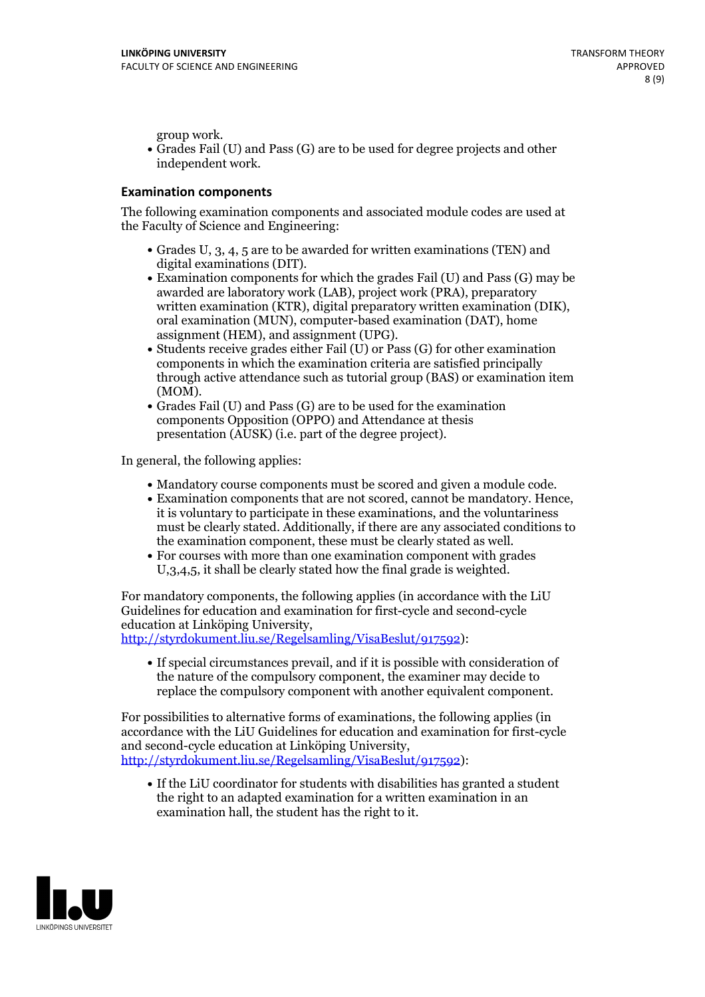group work.<br>• Grades Fail (U) and Pass (G) are to be used for degree projects and other independent work.

### **Examination components**

The following examination components and associated module codes are used at the Faculty of Science and Engineering:

- Grades U, 3, 4, 5 are to be awarded for written examinations (TEN) and
- digital examinations (DIT).<br>• Examination components for which the grades Fail (U) and Pass (G) may be awarded are laboratory work (LAB), project work (PRA), preparatory written examination (KTR), digital preparatory written examination (DIK), oral examination (MUN), computer-based examination (DAT), home
- assignment (HEM), and assignment (UPG).<br>• Students receive grades either Fail (U) or Pass (G) for other examination components in which the examination criteria are satisfied principally through active attendance such as tutorial group (BAS) or examination item
- (MOM).<br>• Grades Fail (U) and Pass (G) are to be used for the examination components Opposition (OPPO) and Attendance at thesis presentation (AUSK) (i.e. part of the degree project).

In general, the following applies:

- 
- Mandatory course components must be scored and given <sup>a</sup> module code. Examination components that are not scored, cannot be mandatory. Hence, it is voluntary to participate in these examinations, and the voluntariness must be clearly stated. Additionally, if there are any associated conditions to
- the examination component, these must be clearly stated as well.<br>• For courses with more than one examination component with grades U,3,4,5, it shall be clearly stated how the final grade is weighted.

For mandatory components, the following applies (in accordance with the LiU Guidelines for education and examination for first-cycle and second-cycle education at Linköping University,<br>[http://styrdokument.liu.se/Regelsamling/VisaBeslut/917592\)](http://styrdokument.liu.se/Regelsamling/VisaBeslut/917592):

If special circumstances prevail, and if it is possible with consideration of the nature of the compulsory component, the examiner may decide to replace the compulsory component with another equivalent component.

For possibilities to alternative forms of examinations, the following applies (in accordance with the LiU Guidelines for education and examination for first-cycle [http://styrdokument.liu.se/Regelsamling/VisaBeslut/917592\)](http://styrdokument.liu.se/Regelsamling/VisaBeslut/917592):

If the LiU coordinator for students with disabilities has granted a student the right to an adapted examination for a written examination in an examination hall, the student has the right to it.